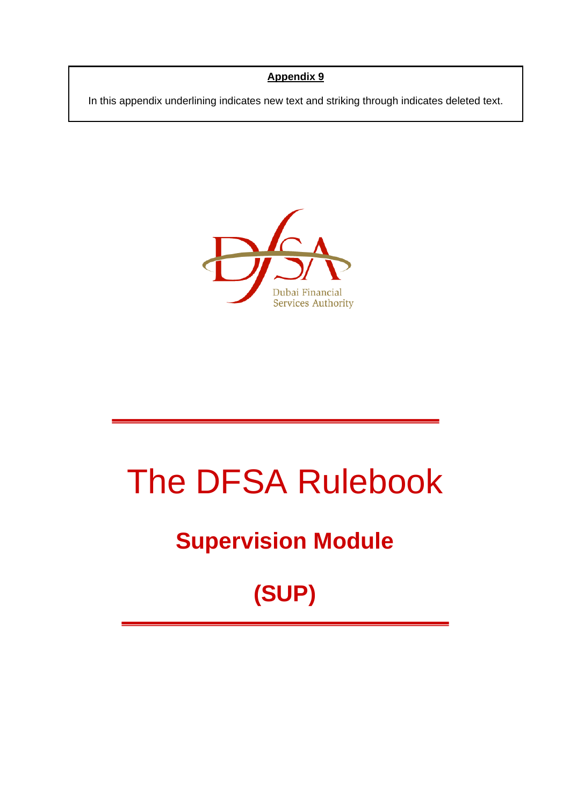#### **Appendix 9**

In this appendix underlining indicates new text and striking through indicates deleted text.



# The DFSA Rulebook

# **Supervision Module**

# **(SUP)**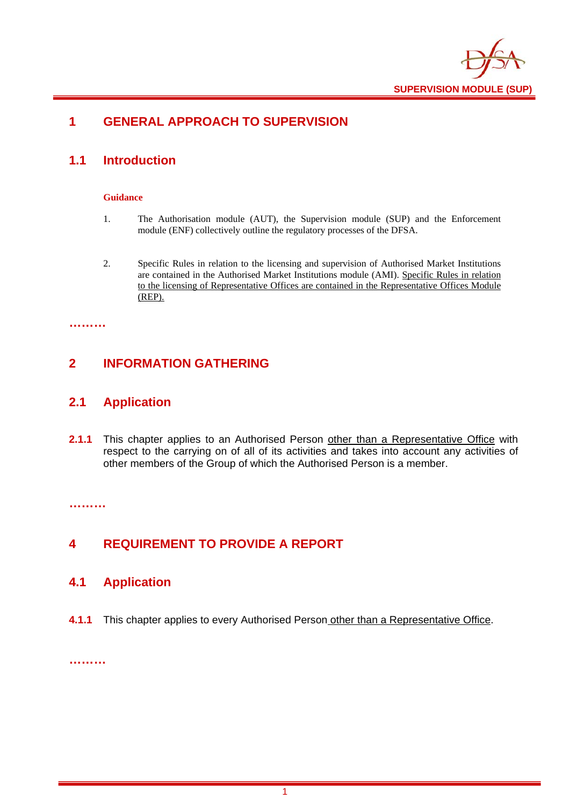

# **1 GENERAL APPROACH TO SUPERVISION**

# **1.1 Introduction**

#### **Guidance**

- 1. The Authorisation module (AUT), the Supervision module (SUP) and the Enforcement module (ENF) collectively outline the regulatory processes of the DFSA.
- 2. Specific Rules in relation to the licensing and supervision of Authorised Market Institutions are contained in the Authorised Market Institutions module (AMI). Specific Rules in relation to the licensing of Representative Offices are contained in the Representative Offices Module (REP).

**………** 

### **2 INFORMATION GATHERING**

### **2.1 Application**

**2.1.1** This chapter applies to an Authorised Person other than a Representative Office with respect to the carrying on of all of its activities and takes into account any activities of other members of the Group of which the Authorised Person is a member.

**………** 

## **4 REQUIREMENT TO PROVIDE A REPORT**

#### **4.1 Application**

**4.1.1** This chapter applies to every Authorised Person other than a Representative Office.

**………**